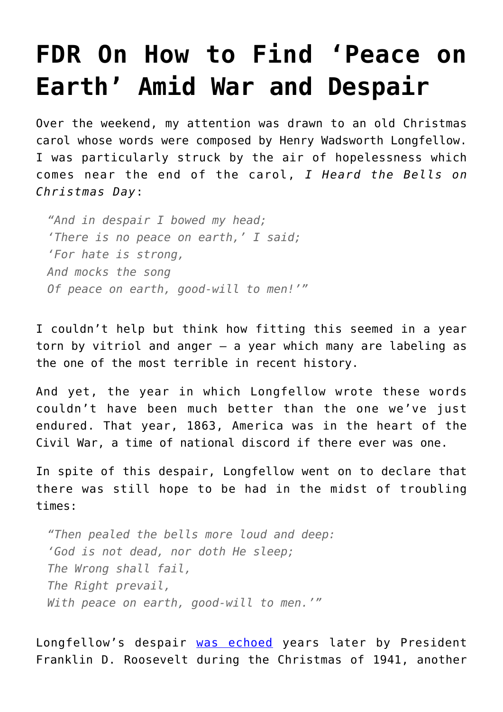## **[FDR On How to Find 'Peace on](https://intellectualtakeout.org/2016/12/fdr-on-how-to-find-peace-on-earth-amid-war-and-despair/) [Earth' Amid War and Despair](https://intellectualtakeout.org/2016/12/fdr-on-how-to-find-peace-on-earth-amid-war-and-despair/)**

Over the weekend, my attention was drawn to an old Christmas carol whose words were composed by Henry Wadsworth Longfellow. I was particularly struck by the air of hopelessness which comes near the end of the carol, *I Heard the Bells on Christmas Day*:

*"And in despair I bowed my head; 'There is no peace on earth,' I said; 'For hate is strong, And mocks the song Of peace on earth, good-will to men!'"*

I couldn't help but think how fitting this seemed in a year torn by vitriol and anger – a year which many are labeling as the one of the most terrible in recent history.

And yet, the year in which Longfellow wrote these words couldn't have been much better than the one we've just endured. That year, 1863, America was in the heart of the Civil War, a time of national discord if there ever was one.

In spite of this despair, Longfellow went on to declare that there was still hope to be had in the midst of troubling times:

*"Then pealed the bells more loud and deep: 'God is not dead, nor doth He sleep; The Wrong shall fail, The Right prevail, With peace on earth, good-will to men.'"*

Longfellow's despair [was echoed](http://www.presidency.ucsb.edu/ws/index.php?pid=16073&st=Christmas&st1=) years later by President Franklin D. Roosevelt during the Christmas of 1941, another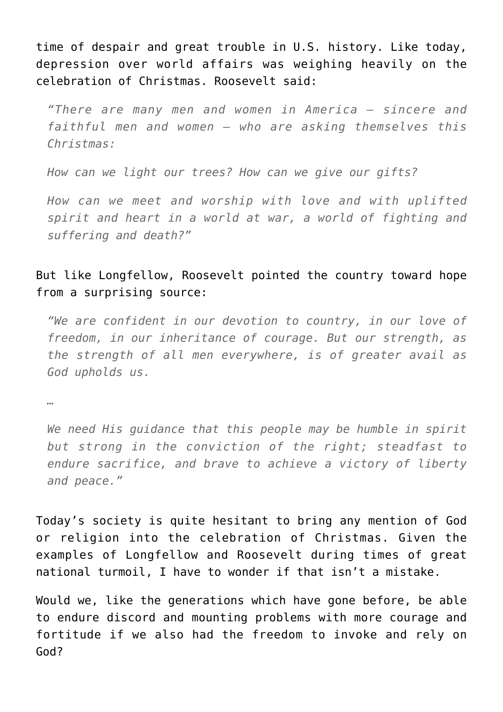time of despair and great trouble in U.S. history. Like today, depression over world affairs was weighing heavily on the celebration of Christmas. Roosevelt said:

*"There are many men and women in America – sincere and faithful men and women – who are asking themselves this Christmas:*

*How can we light our trees? How can we give our gifts?*

*How can we meet and worship with love and with uplifted spirit and heart in a world at war, a world of fighting and suffering and death?"*

## But like Longfellow, Roosevelt pointed the country toward hope from a surprising source:

*"We are confident in our devotion to country, in our love of freedom, in our inheritance of courage. But our strength, as the strength of all men everywhere, is of greater avail as God upholds us.*

*…*

*We need His guidance that this people may be humble in spirit but strong in the conviction of the right; steadfast to endure sacrifice, and brave to achieve a victory of liberty and peace."*

Today's society is quite hesitant to bring any mention of God or religion into the celebration of Christmas. Given the examples of Longfellow and Roosevelt during times of great national turmoil, I have to wonder if that isn't a mistake.

Would we, like the generations which have gone before, be able to endure discord and mounting problems with more courage and fortitude if we also had the freedom to invoke and rely on God?